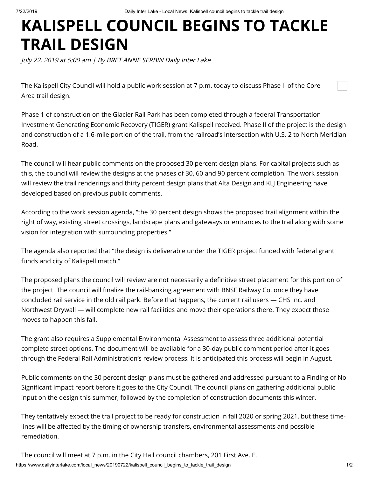## **KALISPELL COUNCIL BEGINS TO TACKLE TRAIL DESIGN**

July 22, 2019 at 5:00 am | By BRET ANNE SERBIN Daily Inter Lake

The Kalispell City Council will hold a public work session at 7 p.m. today to discuss Phase II of the Core Area trail design.

Phase 1 of construction on the Glacier Rail Park has been completed through a federal Transportation Investment Generating Economic Recovery (TIGER) grant Kalispell received. Phase II of the project is the design and construction of a 1.6-mile portion of the trail, from the railroad's intersection with U.S. 2 to North Meridian Road.

The council will hear public comments on the proposed 30 percent design plans. For capital projects such as this, the council will review the designs at the phases of 30, 60 and 90 percent completion. The work session will review the trail renderings and thirty percent design plans that Alta Design and KLJ Engineering have developed based on previous public comments.

According to the work session agenda, "the 30 percent design shows the proposed trail alignment within the right of way, existing street crossings, landscape plans and gateways or entrances to the trail along with some vision for integration with surrounding properties."

The agenda also reported that "the design is deliverable under the TIGER project funded with federal grant funds and city of Kalispell match."

The proposed plans the council will review are not necessarily a definitive street placement for this portion of the project. The council will finalize the rail-banking agreement with BNSF Railway Co. once they have concluded rail service in the old rail park. Before that happens, the current rail users — CHS Inc. and Northwest Drywall — will complete new rail facilities and move their operations there. They expect those moves to happen this fall.

The grant also requires a Supplemental Environmental Assessment to assess three additional potential complete street options. The document will be available for a 30-day public comment period after it goes through the Federal Rail Administration's review process. It is anticipated this process will begin in August.

Public comments on the 30 percent design plans must be gathered and addressed pursuant to a Finding of No Significant Impact report before it goes to the City Council. The council plans on gathering additional public input on the design this summer, followed by the completion of construction documents this winter.

They tentatively expect the trail project to be ready for construction in fall 2020 or spring 2021, but these timelines will be affected by the timing of ownership transfers, environmental assessments and possible remediation.